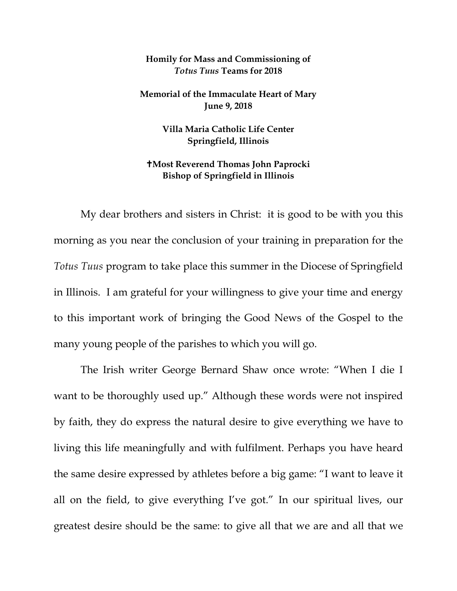## **Homily for Mass and Commissioning of**  *Totus Tuus* **Teams for 2018**

**Memorial of the Immaculate Heart of Mary June 9, 2018**

> **Villa Maria Catholic Life Center Springfield, Illinois**

## **Most Reverend Thomas John Paprocki Bishop of Springfield in Illinois**

My dear brothers and sisters in Christ: it is good to be with you this morning as you near the conclusion of your training in preparation for the *Totus Tuus* program to take place this summer in the Diocese of Springfield in Illinois. I am grateful for your willingness to give your time and energy to this important work of bringing the Good News of the Gospel to the many young people of the parishes to which you will go.

The Irish writer George Bernard Shaw once wrote: "When I die I want to be thoroughly used up." Although these words were not inspired by faith, they do express the natural desire to give everything we have to living this life meaningfully and with fulfilment. Perhaps you have heard the same desire expressed by athletes before a big game: "I want to leave it all on the field, to give everything I've got." In our spiritual lives, our greatest desire should be the same: to give all that we are and all that we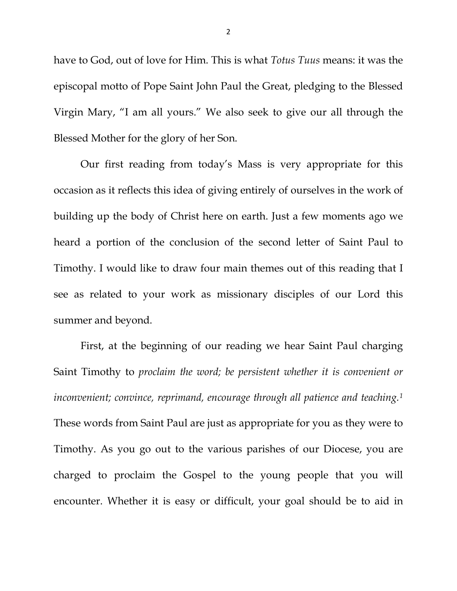have to God, out of love for Him. This is what *Totus Tuus* means: it was the episcopal motto of Pope Saint John Paul the Great, pledging to the Blessed Virgin Mary, "I am all yours." We also seek to give our all through the Blessed Mother for the glory of her Son.

Our first reading from today's Mass is very appropriate for this occasion as it reflects this idea of giving entirely of ourselves in the work of building up the body of Christ here on earth. Just a few moments ago we heard a portion of the conclusion of the second letter of Saint Paul to Timothy. I would like to draw four main themes out of this reading that I see as related to your work as missionary disciples of our Lord this summer and beyond.

First, at the beginning of our reading we hear Saint Paul charging Saint Timothy to *proclaim the word; be persistent whether it is convenient or inconvenient; convince, reprimand, encourage through all patience and teaching[.1](#page-4-0)* These words from Saint Paul are just as appropriate for you as they were to Timothy. As you go out to the various parishes of our Diocese, you are charged to proclaim the Gospel to the young people that you will encounter. Whether it is easy or difficult, your goal should be to aid in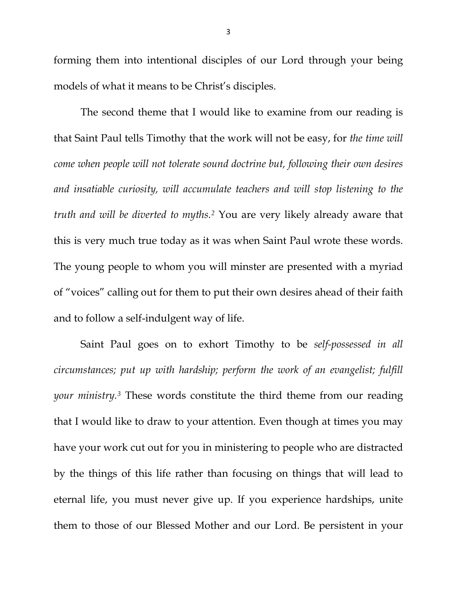forming them into intentional disciples of our Lord through your being models of what it means to be Christ's disciples.

The second theme that I would like to examine from our reading is that Saint Paul tells Timothy that the work will not be easy, for *the time will come when people will not tolerate sound doctrine but, following their own desires and insatiable curiosity, will accumulate teachers and will stop listening to the truth and will be diverted to myths.[2](#page-4-1)* You are very likely already aware that this is very much true today as it was when Saint Paul wrote these words. The young people to whom you will minster are presented with a myriad of "voices" calling out for them to put their own desires ahead of their faith and to follow a self-indulgent way of life.

Saint Paul goes on to exhort Timothy to be *self-possessed in all circumstances; put up with hardship; perform the work of an evangelist; fulfill your ministry.[3](#page-4-2)* These words constitute the third theme from our reading that I would like to draw to your attention. Even though at times you may have your work cut out for you in ministering to people who are distracted by the things of this life rather than focusing on things that will lead to eternal life, you must never give up. If you experience hardships, unite them to those of our Blessed Mother and our Lord. Be persistent in your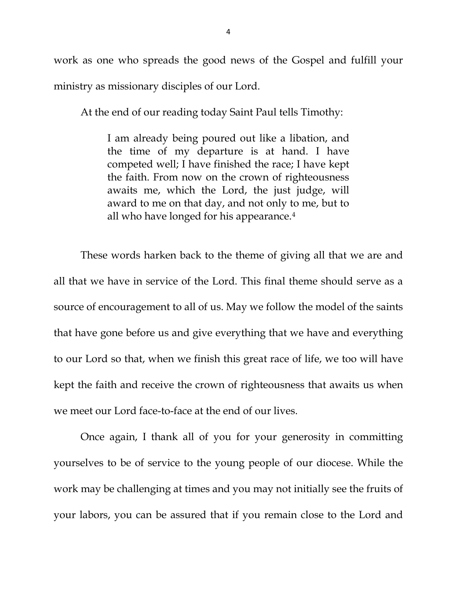work as one who spreads the good news of the Gospel and fulfill your ministry as missionary disciples of our Lord.

At the end of our reading today Saint Paul tells Timothy:

I am already being poured out like a libation, and the time of my departure is at hand. I have competed well; I have finished the race; I have kept the faith. From now on the crown of righteousness awaits me, which the Lord, the just judge, will award to me on that day, and not only to me, but to all who have longed for his appearance.[4](#page-4-3)

These words harken back to the theme of giving all that we are and all that we have in service of the Lord. This final theme should serve as a source of encouragement to all of us. May we follow the model of the saints that have gone before us and give everything that we have and everything to our Lord so that, when we finish this great race of life, we too will have kept the faith and receive the crown of righteousness that awaits us when we meet our Lord face-to-face at the end of our lives.

Once again, I thank all of you for your generosity in committing yourselves to be of service to the young people of our diocese. While the work may be challenging at times and you may not initially see the fruits of your labors, you can be assured that if you remain close to the Lord and